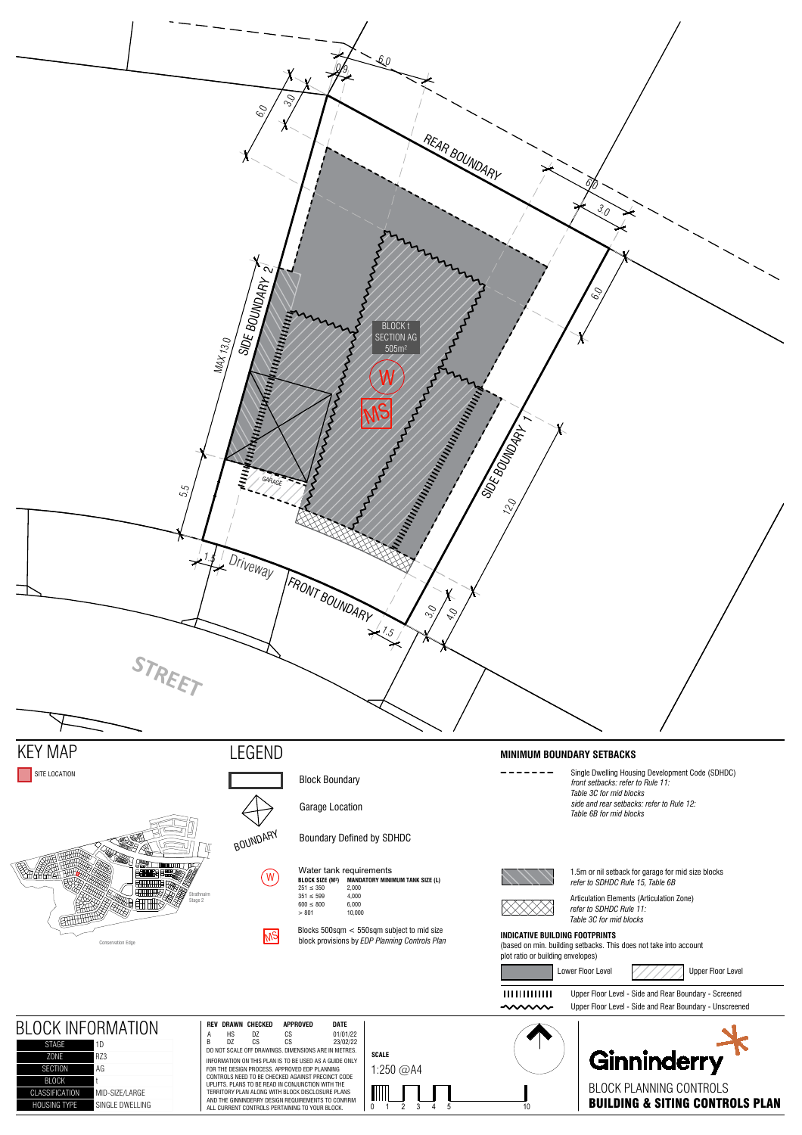